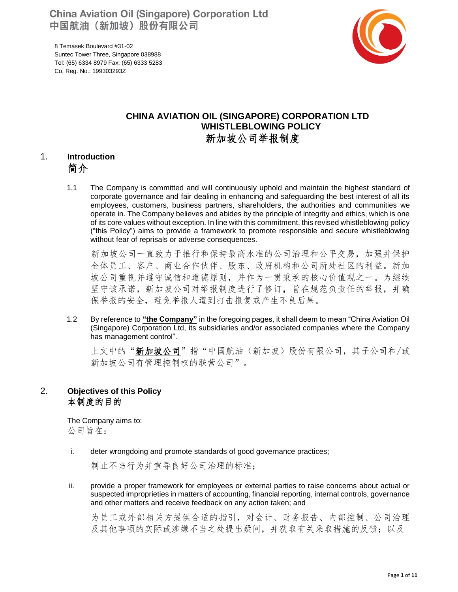**China Aviation Oil (Singapore) Corporation Ltd** 中国航油 (新加坡) 股份有限公司

8 Temasek Boulevard #31-02 Suntec Tower Three, Singapore 038988 Tel: (65) 6334 8979 Fax: (65) 6333 5283 Co. Reg. No.: 199303293Z



# **CHINA AVIATION OIL (SINGAPORE) CORPORATION LTD WHISTLEBLOWING POLICY** 新加坡公司举报制度

# 1. **Introduction** 简介

1.1 The Company is committed and will continuously uphold and maintain the highest standard of corporate governance and fair dealing in enhancing and safeguarding the best interest of all its employees, customers, business partners, shareholders, the authorities and communities we operate in. The Company believes and abides by the principle of integrity and ethics, which is one of its core values without exception. In line with this commitment, this revised whistleblowing policy ("this Policy") aims to provide a framework to promote responsible and secure whistleblowing without fear of reprisals or adverse consequences.

 新加坡公司一直致力于推行和保持最高水准的公司治理和公平交易,加强并保护 全体员工、客户、商业合作伙伴、股东、政府机构和公司所处社区的利益。新加 坡公司重视并遵守诚信和道德原则,并作为一贯秉承的核心价值观之一。为继续 坚守该承诺,新加坡公司对举报制度进行了修订,旨在规范负责任的举报,并确 保举报的安全,避免举报人遭到打击报复或产生不良后果。

1.2 By reference to **"the Company"** in the foregoing pages, it shall deem to mean "China Aviation Oil (Singapore) Corporation Ltd, its subsidiaries and/or associated companies where the Company has management control".

上文中的"新加坡公司"指"中国航油(新加坡)股份有限公司,其子公司和/或 新加坡公司有管理控制权的联营公司"。

### 2. **Objectives of this Policy** 本制度的目的

The Company aims to: 公司旨在:

i. deter wrongdoing and promote standards of good governance practices;

制止不当行为并宣导良好公司治理的标准;

ii. provide a proper framework for employees or external parties to raise concerns about actual or suspected improprieties in matters of accounting, financial reporting, internal controls, governance and other matters and receive feedback on any action taken; and

为员工或外部相关方提供合适的指引,对会计、财务报告、内部控制、公司治理 及其他事项的实际或涉嫌不当之处提出疑问,并获取有关采取措施的反馈;以及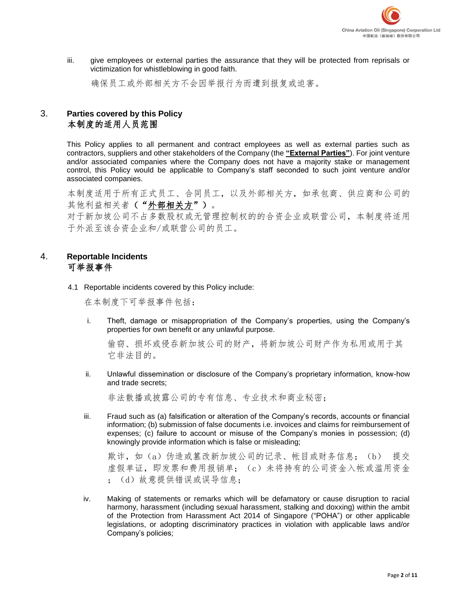

iii. give employees or external parties the assurance that they will be protected from reprisals or victimization for whistleblowing in good faith.

确保员工或外部相关方不会因举报行为而遭到报复或迫害。

# 3. **Parties covered by this Policy** 本制度的适用人员范围

This Policy applies to all permanent and contract employees as well as external parties such as contractors, suppliers and other stakeholders of the Company (the **"External Parties"**). For joint venture and/or associated companies where the Company does not have a majority stake or management control, this Policy would be applicable to Company's staff seconded to such joint venture and/or associated companies.

本制度适用于所有正式员工、合同员工,以及外部相关方,如承包商、供应商和公司的 其他利益相关者("外部相关方")。

对于新加坡公司不占多数股权或无管理控制权的的合资企业或联营公司,本制度将适用 于外派至该合资企业和/或联营公司的员工。

# 4. **Reportable Incidents** 可举报事件

4.1 Reportable incidents covered by this Policy include:

在本制度下可举报事件包括:

i. Theft, damage or misappropriation of the Company's properties, using the Company's properties for own benefit or any unlawful purpose.

偷窃、损坏或侵吞新加坡公司的财产,将新加坡公司财产作为私用或用于其 它非法目的。

ii. Unlawful dissemination or disclosure of the Company's proprietary information, know-how and trade secrets;

非法散播或披露公司的专有信息、专业技术和商业秘密;

iii. Fraud such as (a) falsification or alteration of the Company's records, accounts or financial information; (b) submission of false documents i.e. invoices and claims for reimbursement of expenses; (c) failure to account or misuse of the Company's monies in possession; (d) knowingly provide information which is false or misleading;

欺诈, 如(a) 伪造或篡改新加坡公司的记录、帐目或财务信息; (b) 提交 虚假单证,即发票和费用报销单;(c)未将持有的公司资金入帐或滥用资金 ; (d) 故意提供错误或误导信息;

iv. Making of statements or remarks which will be defamatory or cause disruption to racial harmony, harassment (including sexual harassment, stalking and doxxing) within the ambit of the Protection from Harassment Act 2014 of Singapore ("POHA") or other applicable legislations, or adopting discriminatory practices in violation with applicable laws and/or Company's policies;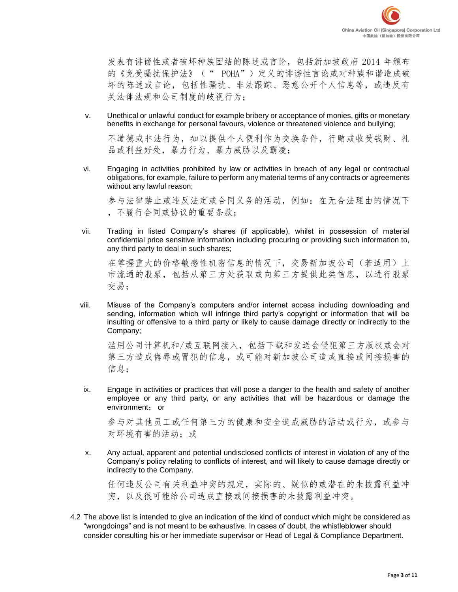发表有诽谤性或者破坏种族团结的陈述或言论,包括新加坡政府 2014 年颁布 的《免受骚扰保护法》(" POHA")定义的诽谤性言论或对种族和谐造成破 坏的陈述或言论,包括性骚扰、非法跟踪、恶意公开个人信息等,或违反有 关法律法规和公司制度的歧视行为;

v. Unethical or unlawful conduct for example bribery or acceptance of monies, gifts or monetary benefits in exchange for personal favours, violence or threatened violence and bullying;

不道德或非法行为,如以提供个人便利作为交换条件,行贿或收受钱财、礼 品或利益好处,暴力行为、暴力威胁以及霸凌;

vi. Engaging in activities prohibited by law or activities in breach of any legal or contractual obligations, for example, failure to perform any material terms of any contracts or agreements without any lawful reason;

参与法律禁止或违反法定或合同义务的活动,例如:在无合法理由的情况下 ,不履行合同或协议的重要条款;

vii. Trading in listed Company's shares (if applicable), whilst in possession of material confidential price sensitive information including procuring or providing such information to, any third party to deal in such shares;

在掌握重大的价格敏感性机密信息的情况下,交易新加坡公司(若适用)上 市流通的股票,包括从第三方处获取或向第三方提供此类信息,以进行股票 交易;

viii. Misuse of the Company's computers and/or internet access including downloading and sending, information which will infringe third party's copyright or information that will be insulting or offensive to a third party or likely to cause damage directly or indirectly to the Company;

滥用公司计算机和/或互联网接入,包括下载和发送会侵犯第三方版权或会对 第三方造成侮辱或冒犯的信息,或可能对新加坡公司造成直接或间接损害的 信息;

ix. Engage in activities or practices that will pose a danger to the health and safety of another employee or any third party, or any activities that will be hazardous or damage the environment; or

参与对其他员工或任何第三方的健康和安全造成威胁的活动或行为,或参与 对环境有害的活动;或

x. Any actual, apparent and potential undisclosed conflicts of interest in violation of any of the Company's policy relating to conflicts of interest, and will likely to cause damage directly or indirectly to the Company.

任何违反公司有关利益冲突的规定,实际的、疑似的或潜在的未披露利益冲 突,以及很可能给公司造成直接或间接损害的未披露利益冲突。

4.2 The above list is intended to give an indication of the kind of conduct which might be considered as "wrongdoings" and is not meant to be exhaustive. In cases of doubt, the whistleblower should consider consulting his or her immediate supervisor or Head of Legal & Compliance Department.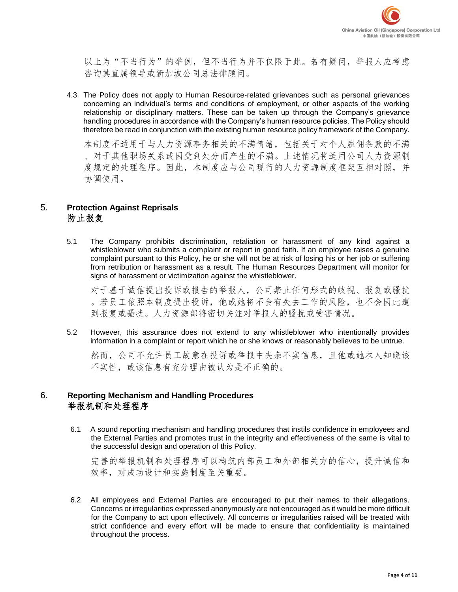以上为"不当行为"的举例,但不当行为并不仅限于此。若有疑问,举报人应考虑 咨询其直属领导或新加坡公司总法律顾问。

4.3 The Policy does not apply to Human Resource-related grievances such as personal grievances concerning an individual's terms and conditions of employment, or other aspects of the working relationship or disciplinary matters. These can be taken up through the Company's grievance handling procedures in accordance with the Company's human resource policies. The Policy should therefore be read in conjunction with the existing human resource policy framework of the Company.

本制度不适用于与人力资源事务相关的不满情绪,包括关于对个人雇佣条款的不满 、对于其他职场关系或因受到处分而产生的不满。上述情况将适用公司人力资源制 度规定的处理程序。因此,本制度应与公司现行的人力资源制度框架互相对照,并 协调使用。

### 5. **Protection Against Reprisals** 防止报复

5.1 The Company prohibits discrimination, retaliation or harassment of any kind against a whistleblower who submits a complaint or report in good faith. If an employee raises a genuine complaint pursuant to this Policy, he or she will not be at risk of losing his or her job or suffering from retribution or harassment as a result. The Human Resources Department will monitor for signs of harassment or victimization against the whistleblower.

对于基于诚信提出投诉或报告的举报人,公司禁止任何形式的歧视、报复或骚扰 。若员工依照本制度提出投诉,他或她将不会有失去工作的风险,也不会因此遭 到报复或骚扰。人力资源部将密切关注对举报人的骚扰或受害情况。

5.2 However, this assurance does not extend to any whistleblower who intentionally provides information in a complaint or report which he or she knows or reasonably believes to be untrue.

然而,公司不允许员工故意在投诉或举报中夹杂不实信息,且他或她本人知晓该 不实性,或该信息有充分理由被认为是不正确的。

### 6. **Reporting Mechanism and Handling Procedures** 举报机制和处理程序

6.1 A sound reporting mechanism and handling procedures that instils confidence in employees and the External Parties and promotes trust in the integrity and effectiveness of the same is vital to the successful design and operation of this Policy.

完善的举报机制和处理程序可以构筑内部员工和外部相关方的信心,提升诚信和 效率,对成功设计和实施制度至关重要。

6.2 All employees and External Parties are encouraged to put their names to their allegations. Concerns or irregularities expressed anonymously are not encouraged as it would be more difficult for the Company to act upon effectively. All concerns or irregularities raised will be treated with strict confidence and every effort will be made to ensure that confidentiality is maintained throughout the process.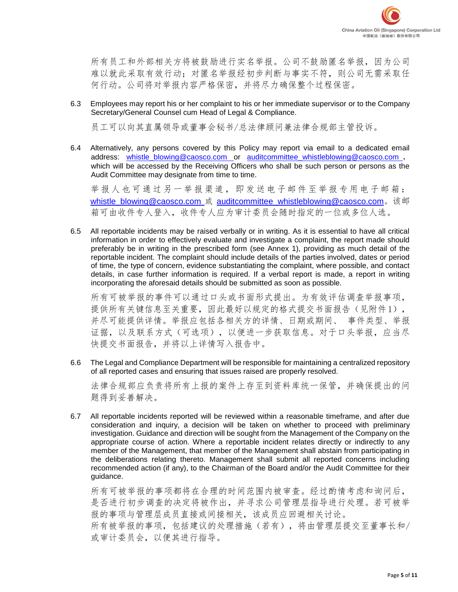所有员工和外部相关方将被鼓励进行实名举报。公司不鼓励匿名举报,因为公司 难以就此采取有效行动;对匿名举报经初步判断与事实不符,则公司无需采取任 何行动。公司将对举报内容严格保密,并将尽力确保整个过程保密。

6.3 Employees may report his or her complaint to his or her immediate supervisor or to the Company Secretary/General Counsel cum Head of Legal & Compliance.

员工可以向其直属领导或董事会秘书/总法律顾问兼法律合规部主管投诉。

6.4 Alternatively, any persons covered by this Policy may report via email to a dedicated email address: [whistle\\_blowing@caosco.com](mailto:whistle_blowing@caosco.com) or auditcommittee\_whistleblowing@caosco.com , which will be accessed by the Receiving Officers who shall be such person or persons as the Audit Committee may designate from time to time.

[举报人也可通过另一举报渠道,即发送电子邮件至举报专用电子邮箱:](mailto:?????￥?oo?1???ˉ???é????μ?-?é?????è?3?????￥?????¨??μ?-?é????±whistle_blowing@caosco.com) whistle\_blowing@caosco.com 或 auditcommittee\_whistleblowing@caosco.com。该邮 箱可由收件专人登入,收件专人应为审计委员会随时指定的一位或多位人选。

6.5 All reportable incidents may be raised verbally or in writing. As it is essential to have all critical information in order to effectively evaluate and investigate a complaint, the report made should preferably be in writing in the prescribed form (see Annex 1), providing as much detail of the reportable incident. The complaint should include details of the parties involved, dates or period of time, the type of concern, evidence substantiating the complaint, where possible, and contact details, in case further information is required. If a verbal report is made, a report in writing incorporating the aforesaid details should be submitted as soon as possible.

所有可被举报的事件可以通过口头或书面形式提出。为有效评估调查举报事项, 提供所有关键信息至关重要,因此最好以规定的格式提交书面报告(见附件1), 并尽可能提供详情。举报应包括各相关方的详情、日期或期间、 事件类型、举报 证据,以及联系方式(可选项),以便进一步获取信息。对于口头举报,应当尽 快提交书面报告,并将以上详情写入报告中。

6.6 The Legal and Compliance Department will be responsible for maintaining a centralized repository of all reported cases and ensuring that issues raised are properly resolved.

法律合规部应负责将所有上报的案件上存至到资料库统一保管,并确保提出的问 题得到妥善解决。

6.7 All reportable incidents reported will be reviewed within a reasonable timeframe, and after due consideration and inquiry, a decision will be taken on whether to proceed with preliminary investigation. Guidance and direction will be sought from the Management of the Company on the appropriate course of action. Where a reportable incident relates directly or indirectly to any member of the Management, that member of the Management shall abstain from participating in the deliberations relating thereto. Management shall submit all reported concerns including recommended action (if any), to the Chairman of the Board and/or the Audit Committee for their guidance.

所有可被举报的事项都将在合理的时间范围内被审查。经过酌情考虑和询问后, 是否进行初步调查的决定将被作出,并寻求公司管理层指导进行处理。若可被举 报的事项与管理层成员直接或间接相关,该成员应回避相关讨论。 所有被举报的事项,包括建议的处理措施(若有),将由管理层提交至董事长和/ 或审计委员会,以便其进行指导。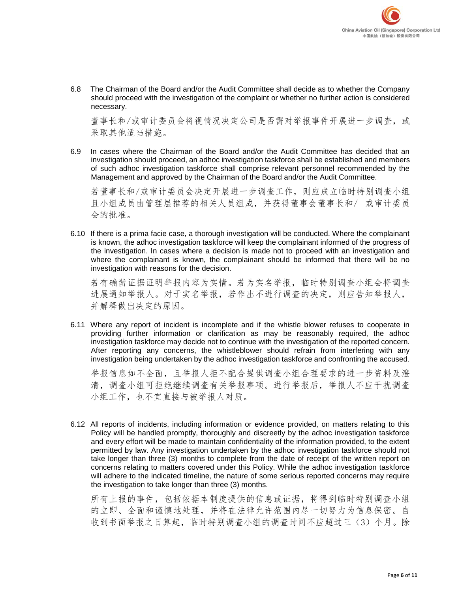

6.8 The Chairman of the Board and/or the Audit Committee shall decide as to whether the Company should proceed with the investigation of the complaint or whether no further action is considered necessary.

董事长和/或审计委员会将视情况决定公司是否需对举报事件开展进一步调查,或 采取其他适当措施。

6.9 In cases where the Chairman of the Board and/or the Audit Committee has decided that an investigation should proceed, an adhoc investigation taskforce shall be established and members of such adhoc investigation taskforce shall comprise relevant personnel recommended by the Management and approved by the Chairman of the Board and/or the Audit Committee.

若董事长和/或审计委员会决定开展进一步调查工作,则应成立临时特别调查小组 且小组成员由管理层推荐的相关人员组成,并获得董事会董事长和/ 或审计委员 会的批准。

6.10 If there is a prima facie case, a thorough investigation will be conducted. Where the complainant is known, the adhoc investigation taskforce will keep the complainant informed of the progress of the investigation. In cases where a decision is made not to proceed with an investigation and where the complainant is known, the complainant should be informed that there will be no investigation with reasons for the decision.

若有确凿证据证明举报内容为实情。若为实名举报,临时特别调查小组会将调查 进展通知举报人。对于实名举报,若作出不进行调查的决定,则应告知举报人, 并解释做出决定的原因。

6.11 Where any report of incident is incomplete and if the whistle blower refuses to cooperate in providing further information or clarification as may be reasonably required, the adhoc investigation taskforce may decide not to continue with the investigation of the reported concern. After reporting any concerns, the whistleblower should refrain from interfering with any investigation being undertaken by the adhoc investigation taskforce and confronting the accused.

举报信息如不全面,且举报人拒不配合提供调查小组合理要求的进一步资料及澄 清,调查小组可拒绝继续调查有关举报事项。进行举报后,举报人不应干扰调查 小组工作,也不宜直接与被举报人对质。

6.12 All reports of incidents, including information or evidence provided, on matters relating to this Policy will be handled promptly, thoroughly and discreetly by the adhoc investigation taskforce and every effort will be made to maintain confidentiality of the information provided, to the extent permitted by law. Any investigation undertaken by the adhoc investigation taskforce should not take longer than three (3) months to complete from the date of receipt of the written report on concerns relating to matters covered under this Policy. While the adhoc investigation taskforce will adhere to the indicated timeline, the nature of some serious reported concerns may require the investigation to take longer than three (3) months.

所有上报的事件,包括依据本制度提供的信息或证据,将得到临时特别调查小组 的立即、全面和谨慎地处理,并将在法律允许范围内尽一切努力为信息保密。自 收到书面举报之日算起,临时特别调查小组的调查时间不应超过三(3)个月。除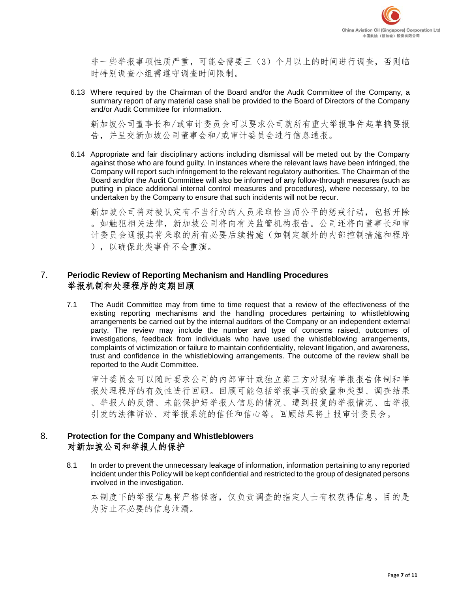

非一些举报事项性质严重,可能会需要三(3)个月以上的时间进行调查,否则临 时特别调查小组需遵守调查时间限制。

6.13 Where required by the Chairman of the Board and/or the Audit Committee of the Company, a summary report of any material case shall be provided to the Board of Directors of the Company and/or Audit Committee for information.

新加坡公司董事长和/或审计委员会可以要求公司就所有重大举报事件起草摘要报 告,并呈交新加坡公司董事会和/或审计委员会进行信息通报。

6.14 Appropriate and fair disciplinary actions including dismissal will be meted out by the Company against those who are found guilty. In instances where the relevant laws have been infringed, the Company will report such infringement to the relevant regulatory authorities. The Chairman of the Board and/or the Audit Committee will also be informed of any follow-through measures (such as putting in place additional internal control measures and procedures), where necessary, to be undertaken by the Company to ensure that such incidents will not be recur.

新加坡公司将对被认定有不当行为的人员采取恰当而公平的惩戒行动,包括开除 。如触犯相关法律,新加坡公司将向有关监管机构报告。公司还将向董事长和审 计委员会通报其将采取的所有必要后续措施(如制定额外的内部控制措施和程序 ),以确保此类事件不会重演。

#### 7. **Periodic Review of Reporting Mechanism and Handling Procedures** 举报机制和处理程序的定期回顾

7.1 The Audit Committee may from time to time request that a review of the effectiveness of the existing reporting mechanisms and the handling procedures pertaining to whistleblowing arrangements be carried out by the internal auditors of the Company or an independent external party. The review may include the number and type of concerns raised, outcomes of investigations, feedback from individuals who have used the whistleblowing arrangements, complaints of victimization or failure to maintain confidentiality, relevant litigation, and awareness, trust and confidence in the whistleblowing arrangements. The outcome of the review shall be reported to the Audit Committee.

审计委员会可以随时要求公司的内部审计或独立第三方对现有举报报告体制和举 报处理程序的有效性进行回顾。回顾可能包括举报事项的数量和类型、调查结果 、举报人的反馈、未能保护好举报人信息的情况、遭到报复的举报情况、由举报 引发的法律诉讼、对举报系统的信任和信心等。回顾结果将上报审计委员会。

### 8. **Protection for the Company and Whistleblowers** 对新加坡公司和举报人的保护

8.1 In order to prevent the unnecessary leakage of information, information pertaining to any reported incident under this Policy will be kept confidential and restricted to the group of designated persons involved in the investigation.

本制度下的举报信息将严格保密,仅负责调查的指定人士有权获得信息。目的是 为防止不必要的信息泄漏。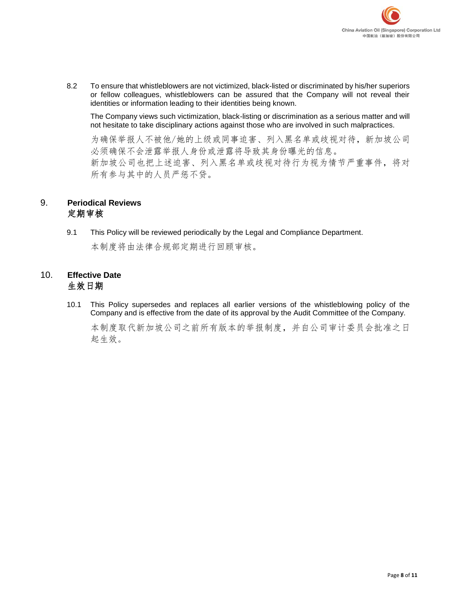

8.2 To ensure that whistleblowers are not victimized, black-listed or discriminated by his/her superiors or fellow colleagues, whistleblowers can be assured that the Company will not reveal their identities or information leading to their identities being known.

The Company views such victimization, black-listing or discrimination as a serious matter and will not hesitate to take disciplinary actions against those who are involved in such malpractices.

为确保举报人不被他/她的上级或同事迫害、列入黑名单或歧视对待,新加坡公司 必须确保不会泄露举报人身份或泄露将导致其身份曝光的信息。 新加坡公司也把上述迫害、列入黑名单或歧视对待行为视为情节严重事件,将对 所有参与其中的人员严惩不贷。

### 9. **Periodical Reviews** 定期审核

9.1 This Policy will be reviewed periodically by the Legal and Compliance Department.

本制度将由法律合规部定期进行回顾审核。

## 10. **Effective Date** 生效日期

10.1 This Policy supersedes and replaces all earlier versions of the whistleblowing policy of the Company and is effective from the date of its approval by the Audit Committee of the Company.

本制度取代新加坡公司之前所有版本的举报制度,并自公司审计委员会批准之日 起生效。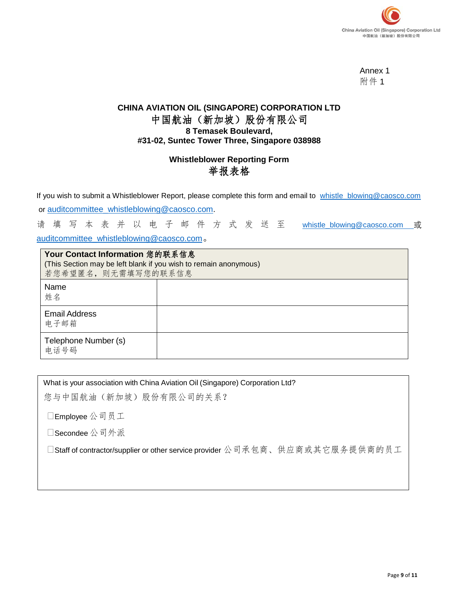

Annex 1 附件 1

# **CHINA AVIATION OIL (SINGAPORE) CORPORATION LTD** 中国航油(新加坡)股份有限公司 **8 Temasek Boulevard, #31-02, Suntec Tower Three, Singapore 038988**

# **Whistleblower Reporting Form** 举报表格

If you wish to submit a Whistleblower Report, please complete this form and email to [whistle\\_blowing@caosco.com](mailto:whistle_blowing@caosco.com)

or [auditcommittee\\_whistleblowing@caosco.com.](mailto:auditcommittee_whistleblowing@caosco.com)

请 填 写 本 表 并 以 电 子 邮 件 方 式 发 送 至 [whistle\\_blowing@caosco.com](mailto:whistle_blowing@caosco.com) 或

[auditcommittee\\_whistleblowing@caosco.com](mailto:auditcommittee_whistleblowing@caosco.com)。

| Your Contact Information 您的联系信息<br>(This Section may be left blank if you wish to remain anonymous)<br>若您希望匿名, 则无需填写您的联系信息 |  |
|----------------------------------------------------------------------------------------------------------------------------|--|
| Name<br>姓名                                                                                                                 |  |
| <b>Email Address</b><br>电子邮箱                                                                                               |  |
| Telephone Number (s)<br>电话号码                                                                                               |  |

What is your association with China Aviation Oil (Singapore) Corporation Ltd?

您与中国航油(新加坡)股份有限公司的关系?

Employee 公司员工

Secondee 公司外派

□Staff of contractor/supplier or other service provider 公司承包商、供应商或其它服务提供商的员工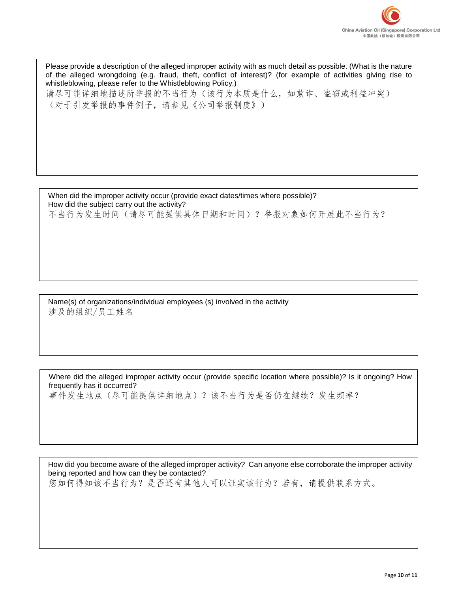

Please provide a description of the alleged improper activity with as much detail as possible. (What is the nature of the alleged wrongdoing (e.g. fraud, theft, conflict of interest)? (for example of activities giving rise to whistleblowing, please refer to the Whistleblowing Policy.) 请尽可能详细地描述所举报的不当行为(该行为本质是什么,如欺诈、盗窃或利益冲突) (对于引发举报的事件例子,请参见《公司举报制度》)

When did the improper activity occur (provide exact dates/times where possible)? How did the subject carry out the activity? 不当行为发生时间(请尽可能提供具体日期和时间)?举报对象如何开展此不当行为?

Name(s) of organizations/individual employees (s) involved in the activity 涉及的组织/员工姓名

Where did the alleged improper activity occur (provide specific location where possible)? Is it ongoing? How frequently has it occurred? 事件发生地点(尽可能提供详细地点)?该不当行为是否仍在继续?发生频率?

How did you become aware of the alleged improper activity? Can anyone else corroborate the improper activity being reported and how can they be contacted?

您如何得知该不当行为?是否还有其他人可以证实该行为?若有,请提供联系方式。